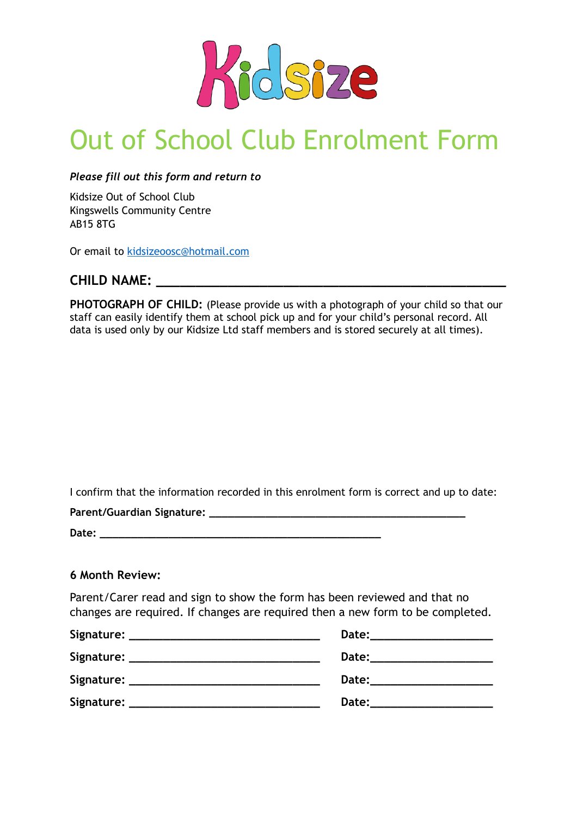

# Out of School Club Enrolment Form

*Please fill out this form and return to* 

Kidsize Out of School Club Kingswells Community Centre AB15 8TG

Or email to [kidsizeoosc@hotmail.com](mailto:kidsizeoosc@hotmail.com)

### **CHILD NAME: \_\_\_\_\_\_\_\_\_\_\_\_\_\_\_\_\_\_\_\_\_\_\_\_\_\_\_\_\_\_\_\_\_\_\_\_\_\_\_\_\_\_\_\_**

**PHOTOGRAPH OF CHILD:** (Please provide us with a photograph of your child so that our staff can easily identify them at school pick up and for your child's personal record. All data is used only by our Kidsize Ltd staff members and is stored securely at all times).

I confirm that the information recorded in this enrolment form is correct and up to date:

**Parent/Guardian Signature: \_\_\_\_\_\_\_\_\_\_\_\_\_\_\_\_\_\_\_\_\_\_\_\_\_\_\_\_\_\_\_\_\_\_\_\_\_\_\_\_\_ Date: \_\_\_\_\_\_\_\_\_\_\_\_\_\_\_\_\_\_\_\_\_\_\_\_\_\_\_\_\_\_\_\_\_\_\_\_\_\_\_\_\_\_\_\_\_** 

#### **6 Month Review:**

Parent/Carer read and sign to show the form has been reviewed and that no changes are required. If changes are required then a new form to be completed.

| Signature: _______________________________ | Date: the control of the control of the control of the control of the control of the control of the control of the control of the control of the control of the control of the control of the control of the control of the co |
|--------------------------------------------|--------------------------------------------------------------------------------------------------------------------------------------------------------------------------------------------------------------------------------|
|                                            | Date:                                                                                                                                                                                                                          |
| Signature:                                 | <b>Date:</b>                                                                                                                                                                                                                   |
| Signature:                                 | Date:                                                                                                                                                                                                                          |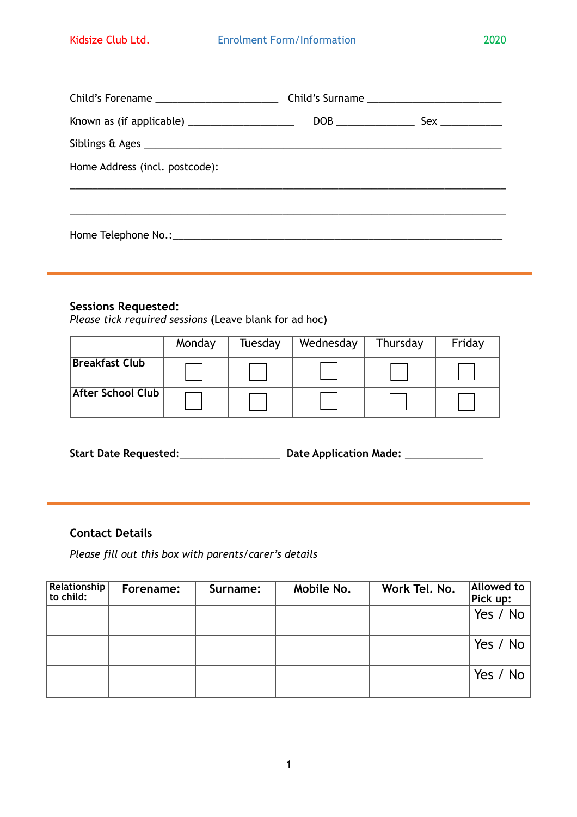| Child's Forename ___________________________ | Child's Surname ___________________________ |
|----------------------------------------------|---------------------------------------------|
|                                              |                                             |
|                                              |                                             |
| Home Address (incl. postcode):               |                                             |
|                                              |                                             |
|                                              |                                             |
|                                              |                                             |

#### **Sessions Requested:**

*Please tick required sessions* **(**Leave blank for ad hoc**)** 

|                          | Monday | Tuesday | Wednesday | Thursday | Friday |
|--------------------------|--------|---------|-----------|----------|--------|
| <b>Breakfast Club</b>    |        |         |           |          |        |
| <b>After School Club</b> |        |         |           |          |        |

**Start Date Requested**:\_\_\_\_\_\_\_\_\_\_\_\_\_\_\_\_\_\_ **Date Application Made:** \_\_\_\_\_\_\_\_\_\_\_\_\_\_

#### **Contact Details**

*Please fill out this box with parents/carer's details* 

| Relationship<br>to child: | Forename: | Surname: | Mobile No. | Work Tel. No. | <b>Allowed to</b><br>$ $ Pick up: |
|---------------------------|-----------|----------|------------|---------------|-----------------------------------|
|                           |           |          |            |               | Yes / No                          |
|                           |           |          |            |               | Yes / No $ $                      |
|                           |           |          |            |               | Yes / No                          |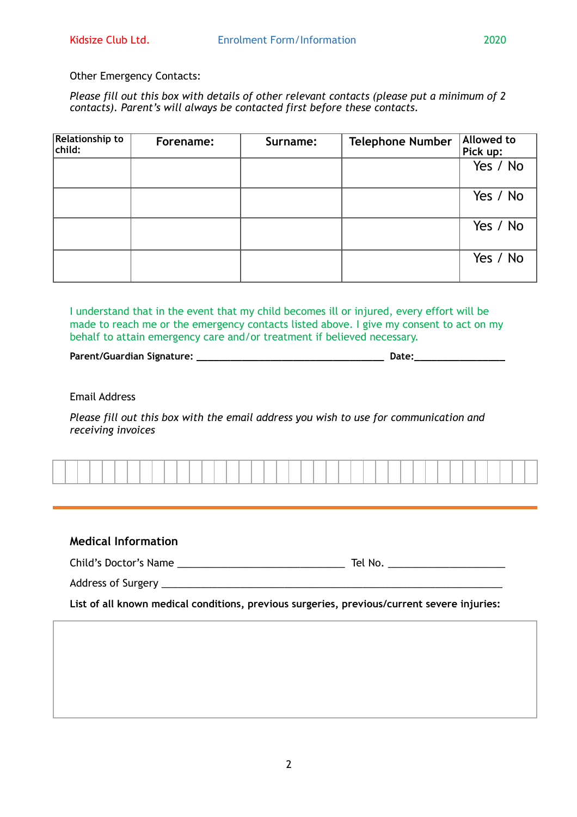#### Other Emergency Contacts:

*Please fill out this box with details of other relevant contacts (please put a minimum of 2 contacts). Parent's will always be contacted first before these contacts.* 

| <b>Relationship to</b><br>child: | Forename: | Surname: | <b>Telephone Number</b> | Allowed to<br>Pick up: |
|----------------------------------|-----------|----------|-------------------------|------------------------|
|                                  |           |          |                         | Yes / No               |
|                                  |           |          |                         | Yes / No               |
|                                  |           |          |                         | Yes / No               |
|                                  |           |          |                         | Yes / No               |

I understand that in the event that my child becomes ill or injured, every effort will be made to reach me or the emergency contacts listed above. I give my consent to act on my behalf to attain emergency care and/or treatment if believed necessary.

Parent/Guardian Signature: **We are also assigned to the set of the set of the set of the set of the set of the set of the set of the set of the set of the set of the set of the set of the set of the set of the set of the s** 

Email Address

*Please fill out this box with the email address you wish to use for communication and receiving invoices* 

|  |  |  |  |  |  |  |  |  | . |  |  |  |  |  | . |  |  |  |  |
|--|--|--|--|--|--|--|--|--|---|--|--|--|--|--|---|--|--|--|--|

#### **Medical Information**

Child's Doctor's Name \_\_\_\_\_\_\_\_\_\_\_\_\_\_\_\_\_\_\_\_\_\_\_\_\_\_\_\_\_\_ Tel No. \_\_\_\_\_\_\_\_\_\_\_\_\_\_\_\_\_\_\_\_\_

Address of Surgery \_\_\_\_\_\_\_\_\_\_\_\_\_\_\_\_\_\_\_\_\_\_\_\_\_\_\_\_\_\_\_\_\_\_\_\_\_\_\_\_\_\_\_\_\_\_\_\_\_\_\_\_\_\_\_\_\_\_\_\_\_

**List of all known medical conditions, previous surgeries, previous/current severe injuries:**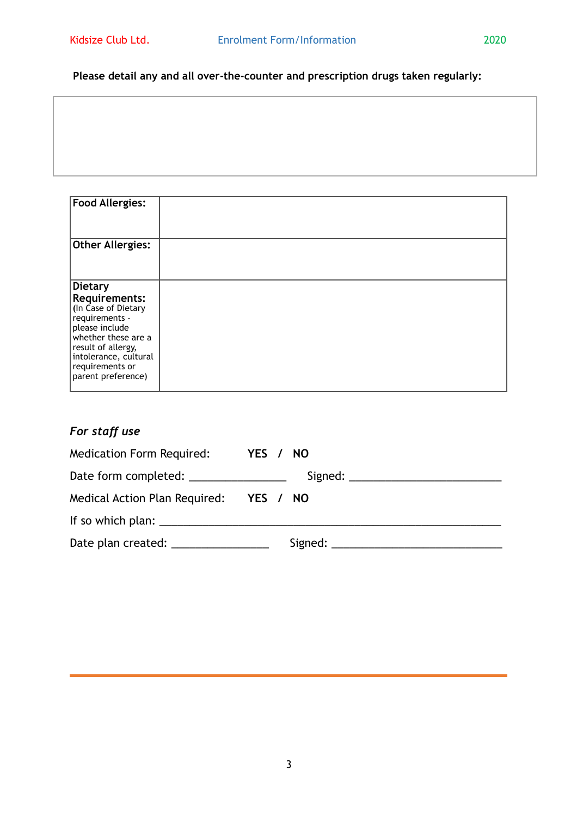#### **Please detail any and all over-the-counter and prescription drugs taken regularly:**

| <b>Food Allergies:</b>                                                                                      |  |
|-------------------------------------------------------------------------------------------------------------|--|
| <b>Other Allergies:</b>                                                                                     |  |
| <b>Dietary</b><br><b>Requirements:</b><br>(In Case of Dietary<br>requirements -<br>please include           |  |
| whether these are a<br>result of allergy,<br>intolerance, cultural<br>requirements or<br>parent preference) |  |

# *For staff use*

| Medication Form Required: YES / NO     |  |
|----------------------------------------|--|
| Date form completed: _________________ |  |
| Medical Action Plan Required: YES / NO |  |
|                                        |  |
| Date plan created: _________________   |  |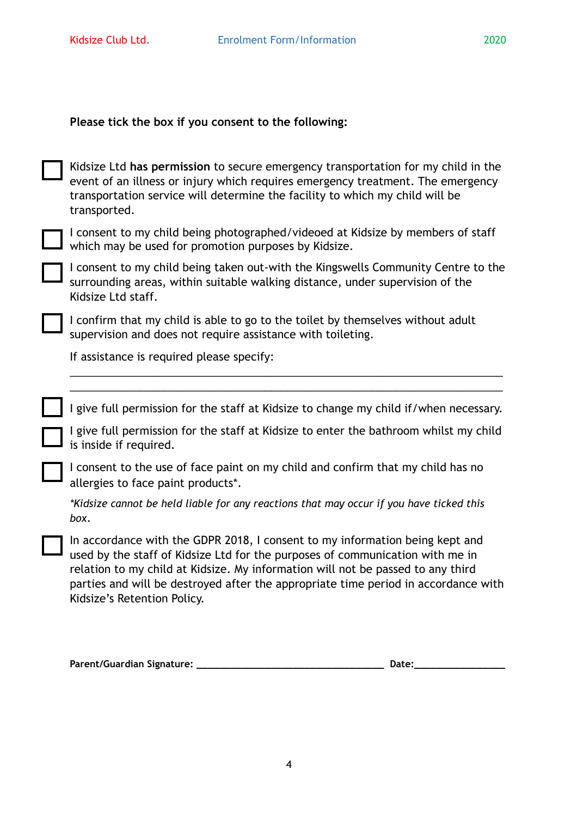| Please tick the box if you consent to the following:                                                                                                                                                                                                                                                                                                                  |
|-----------------------------------------------------------------------------------------------------------------------------------------------------------------------------------------------------------------------------------------------------------------------------------------------------------------------------------------------------------------------|
| Kidsize Ltd has permission to secure emergency transportation for my child in the<br>event of an illness or injury which requires emergency treatment. The emergency<br>transportation service will determine the facility to which my child will be<br>transported.                                                                                                  |
| I consent to my child being photographed/videoed at Kidsize by members of staff<br>which may be used for promotion purposes by Kidsize.                                                                                                                                                                                                                               |
| I consent to my child being taken out-with the Kingswells Community Centre to the<br>surrounding areas, within suitable walking distance, under supervision of the<br>Kidsize Ltd staff.                                                                                                                                                                              |
| I confirm that my child is able to go to the toilet by themselves without adult<br>supervision and does not require assistance with toileting.                                                                                                                                                                                                                        |
| If assistance is required please specify:                                                                                                                                                                                                                                                                                                                             |
|                                                                                                                                                                                                                                                                                                                                                                       |
| I give full permission for the staff at Kidsize to change my child if/when necessary.                                                                                                                                                                                                                                                                                 |
| I give full permission for the staff at Kidsize to enter the bathroom whilst my child<br>is inside if required.                                                                                                                                                                                                                                                       |
| I consent to the use of face paint on my child and confirm that my child has no<br>allergies to face paint products <sup>*</sup> .                                                                                                                                                                                                                                    |
| *Kidsize cannot be held liable for any reactions that may occur if you have ticked this<br>box.                                                                                                                                                                                                                                                                       |
| In accordance with the GDPR 2018, I consent to my information being kept and<br>used by the staff of Kidsize Ltd for the purposes of communication with me in<br>relation to my child at Kidsize. My information will not be passed to any third<br>parties and will be destroyed after the appropriate time period in accordance with<br>Kidsize's Retention Policy. |
| htrhrt<br><b>Parent/Guardian Signature:</b><br>Date:                                                                                                                                                                                                                                                                                                                  |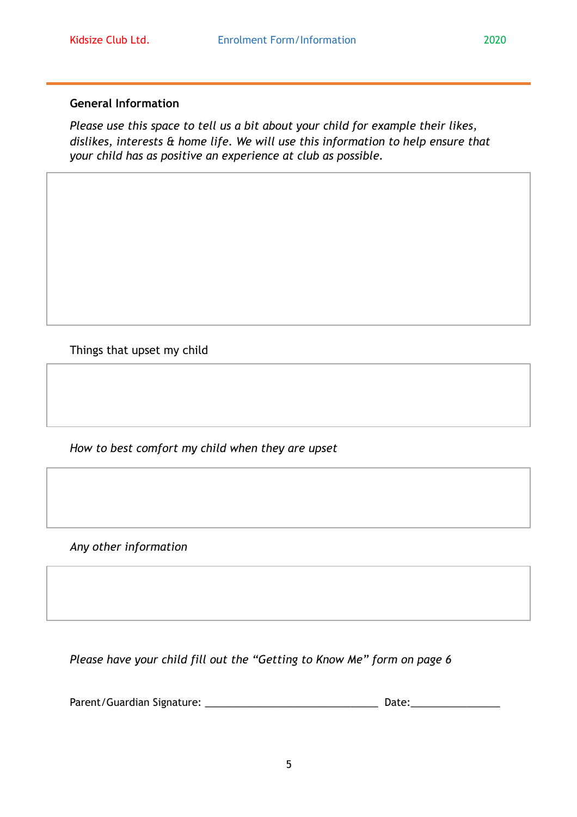#### **General Information**

*Please use this space to tell us a bit about your child for example their likes, dislikes, interests & home life. We will use this information to help ensure that your child has as positive an experience at club as possible.* 

Things that upset my child

*How to best comfort my child when they are upset* 

*Any other information*

*Please have your child fill out the "Getting to Know Me" form on page 6* 

Parent/Guardian Signature: \_\_\_\_\_\_\_\_\_\_\_\_\_\_\_\_\_\_\_\_\_\_\_\_\_\_\_\_\_\_\_ Date:\_\_\_\_\_\_\_\_\_\_\_\_\_\_\_\_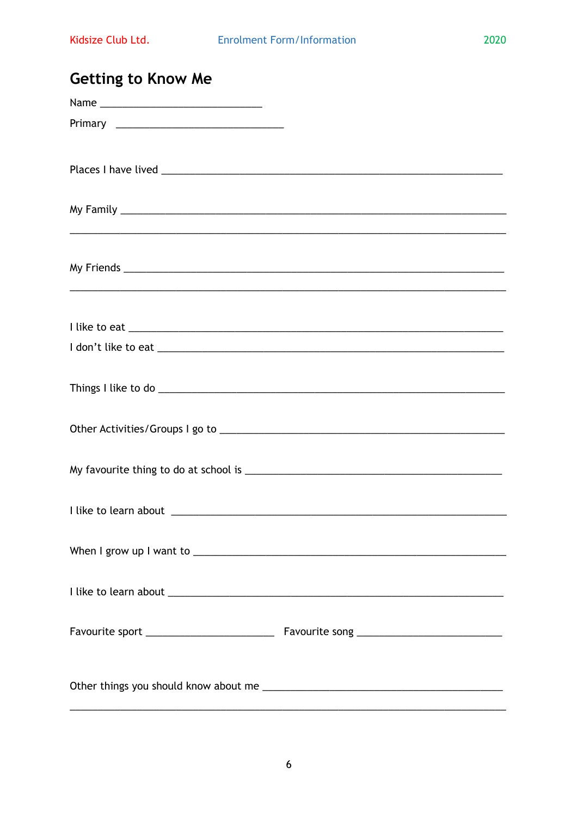2020

| <b>Getting to Know Me</b> |                                                                                  |
|---------------------------|----------------------------------------------------------------------------------|
|                           |                                                                                  |
|                           |                                                                                  |
|                           |                                                                                  |
|                           |                                                                                  |
|                           |                                                                                  |
|                           |                                                                                  |
|                           |                                                                                  |
|                           |                                                                                  |
|                           | ,我们也不会有什么。""我们的人,我们也不会有什么?""我们的人,我们也不会有什么?""我们的人,我们也不会有什么?""我们的人,我们也不会有什么?""我们的人 |
|                           |                                                                                  |
|                           |                                                                                  |
|                           |                                                                                  |
|                           |                                                                                  |
|                           |                                                                                  |
|                           |                                                                                  |
|                           |                                                                                  |
|                           |                                                                                  |
|                           |                                                                                  |
|                           |                                                                                  |
|                           |                                                                                  |
|                           |                                                                                  |
|                           |                                                                                  |
|                           |                                                                                  |
|                           |                                                                                  |
|                           |                                                                                  |
|                           |                                                                                  |
|                           |                                                                                  |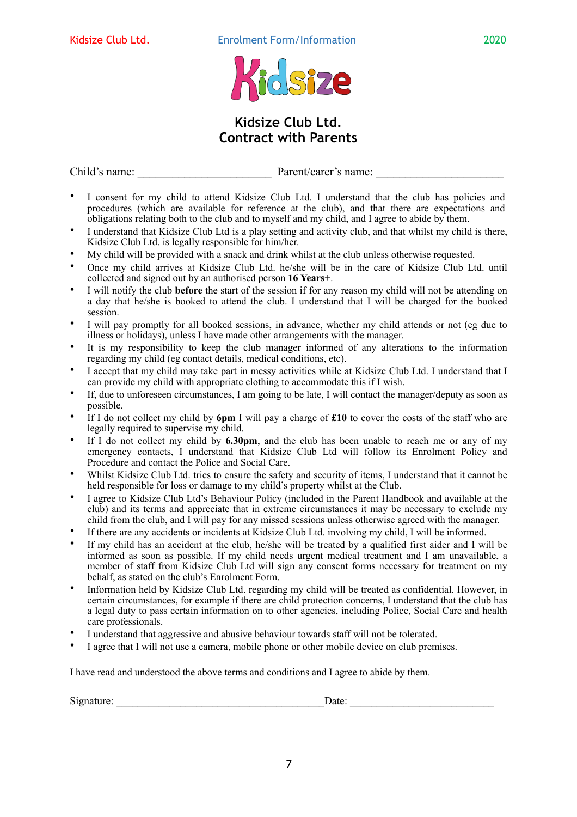



# **Kidsize Club Ltd. Contract with Parents**

Child's name: <u>Parent/carer's name:</u>

- I consent for my child to attend Kidsize Club Ltd. I understand that the club has policies and procedures (which are available for reference at the club), and that there are expectations and obligations relating both to the club and to myself and my child, and I agree to abide by them.
- I understand that Kidsize Club Ltd is a play setting and activity club, and that whilst my child is there, Kidsize Club Ltd. is legally responsible for him/her.
- My child will be provided with a snack and drink whilst at the club unless otherwise requested.
- Once my child arrives at Kidsize Club Ltd. he/she will be in the care of Kidsize Club Ltd. until collected and signed out by an authorised person **16 Years**+.
- I will notify the club **before** the start of the session if for any reason my child will not be attending on a day that he/she is booked to attend the club. I understand that I will be charged for the booked session.
- I will pay promptly for all booked sessions, in advance, whether my child attends or not (eg due to illness or holidays), unless I have made other arrangements with the manager.
- It is my responsibility to keep the club manager informed of any alterations to the information regarding my child (eg contact details, medical conditions, etc).
- I accept that my child may take part in messy activities while at Kidsize Club Ltd. I understand that I can provide my child with appropriate clothing to accommodate this if I wish.
- If, due to unforeseen circumstances, I am going to be late, I will contact the manager/deputy as soon as possible.
- If I do not collect my child by **6pm** I will pay a charge of **£10** to cover the costs of the staff who are legally required to supervise my child.
- If I do not collect my child by **6.30pm**, and the club has been unable to reach me or any of my emergency contacts, I understand that Kidsize Club Ltd will follow its Enrolment Policy and Procedure and contact the Police and Social Care.
- Whilst Kidsize Club Ltd. tries to ensure the safety and security of items, I understand that it cannot be held responsible for loss or damage to my child's property whilst at the Club.
- I agree to Kidsize Club Ltd's Behaviour Policy (included in the Parent Handbook and available at the club) and its terms and appreciate that in extreme circumstances it may be necessary to exclude my child from the club, and I will pay for any missed sessions unless otherwise agreed with the manager.
- If there are any accidents or incidents at Kidsize Club Ltd. involving my child, I will be informed.
- If my child has an accident at the club, he/she will be treated by a qualified first aider and I will be informed as soon as possible. If my child needs urgent medical treatment and I am unavailable, a member of staff from Kidsize Club Ltd will sign any consent forms necessary for treatment on my behalf, as stated on the club's Enrolment Form.
- Information held by Kidsize Club Ltd. regarding my child will be treated as confidential. However, in certain circumstances, for example if there are child protection concerns, I understand that the club has a legal duty to pass certain information on to other agencies, including Police, Social Care and health care professionals.
- I understand that aggressive and abusive behaviour towards staff will not be tolerated.
- I agree that I will not use a camera, mobile phone or other mobile device on club premises.

I have read and understood the above terms and conditions and I agree to abide by them.

Signature: \_\_\_\_\_\_\_\_\_\_\_\_\_\_\_\_\_\_\_\_\_\_\_\_\_\_\_\_\_\_\_\_\_\_\_\_\_\_\_Date: \_\_\_\_\_\_\_\_\_\_\_\_\_\_\_\_\_\_\_\_\_\_\_\_\_\_\_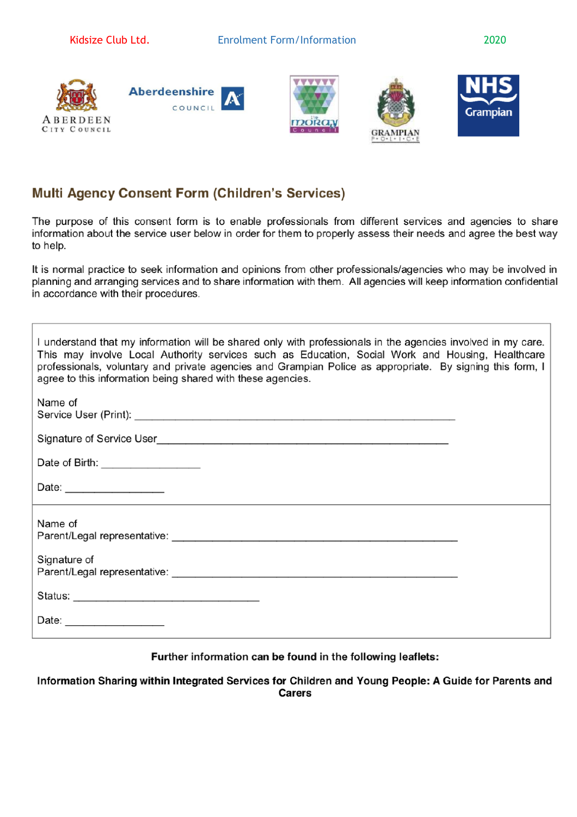









# **Multi Agency Consent Form (Children's Services)**

The purpose of this consent form is to enable professionals from different services and agencies to share information about the service user below in order for them to properly assess their needs and agree the best way to help.

It is normal practice to seek information and opinions from other professionals/agencies who may be involved in planning and arranging services and to share information with them. All agencies will keep information confidential in accordance with their procedures.

| I understand that my information will be shared only with professionals in the agencies involved in my care.<br>This may involve Local Authority services such as Education, Social Work and Housing, Healthcare<br>professionals, voluntary and private agencies and Grampian Police as appropriate. By signing this form, I<br>agree to this information being shared with these agencies. |
|----------------------------------------------------------------------------------------------------------------------------------------------------------------------------------------------------------------------------------------------------------------------------------------------------------------------------------------------------------------------------------------------|
| Name of                                                                                                                                                                                                                                                                                                                                                                                      |
|                                                                                                                                                                                                                                                                                                                                                                                              |
| Date of Birth: ___________________                                                                                                                                                                                                                                                                                                                                                           |
| Date: _______________________                                                                                                                                                                                                                                                                                                                                                                |
| Name of                                                                                                                                                                                                                                                                                                                                                                                      |
| Signature of                                                                                                                                                                                                                                                                                                                                                                                 |
|                                                                                                                                                                                                                                                                                                                                                                                              |
|                                                                                                                                                                                                                                                                                                                                                                                              |

#### Further information can be found in the following leaflets:

Information Sharing within Integrated Services for Children and Young People: A Guide for Parents and **Carers**